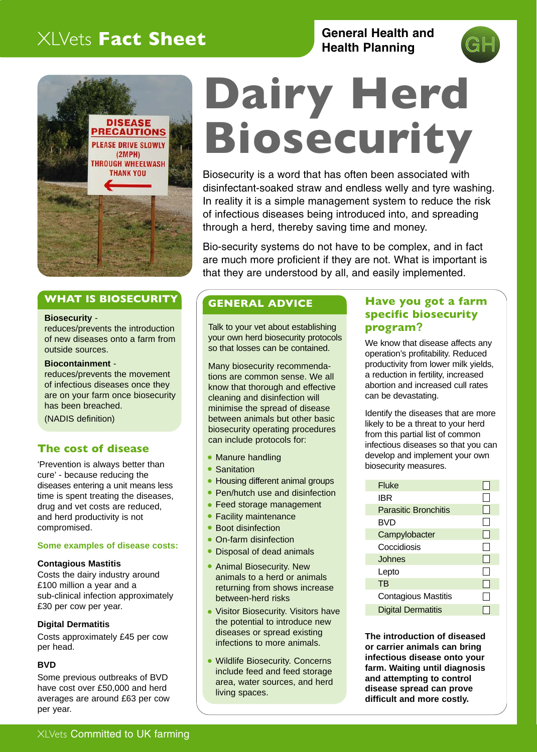# XLVets **Fact Sheet**

# **General Health and Health Planning**





### **WHAT IS BIOSECURITY**

#### **Biosecurity** -

reduces/prevents the introduction of new diseases onto a farm from outside sources.

### **Biocontainment** -

reduces/prevents the movement of infectious diseases once they are on your farm once biosecurity has been breached.

(NADIS definition)

### **The cost of disease**

'Prevention is always better than cure' - because reducing the diseases entering a unit means less time is spent treating the diseases, drug and vet costs are reduced, and herd productivity is not compromised.

### **Some examples of disease costs:**

### **Contagious Mastitis**

Costs the dairy industry around £100 million a year and a sub-clinical infection approximately £30 per cow per year.

### **Digital Dermatitis**

Costs approximately £45 per cow per head.

### **BVD**

Some previous outbreaks of BVD have cost over £50,000 and herd averages are around £63 per cow per year.

# **Dairy Herd Biosecurity**

Biosecurity is a word that has often been associated with disinfectant-soaked straw and endless welly and tyre washing. In reality it is a simple management system to reduce the risk of infectious diseases being introduced into, and spreading through a herd, thereby saving time and money.

Bio-security systems do not have to be complex, and in fact are much more proficient if they are not. What is important is that they are understood by all, and easily implemented.

### **GENERAL ADVICE**

Talk to your vet about establishing your own herd biosecurity protocols so that losses can be contained.

Many biosecurity recommendations are common sense. We all know that thorough and effective cleaning and disinfection will minimise the spread of disease between animals but other basic biosecurity operating procedures can include protocols for:

- Manure handling
- Sanitation
- Housing different animal groups
- Pen/hutch use and disinfection
- Feed storage management
- Facility maintenance
- Boot disinfection
- On-farm disinfection
- Disposal of dead animals ●
- Animal Biosecurity. New animals to a herd or animals returning from shows increase between-herd risks
- Visitor Biosecurity. Visitors have the potential to introduce new diseases or spread existing infections to more animals. ●
- Wildlife Biosecurity. Concerns include feed and feed storage area, water sources, and herd living spaces.

### **Have you got a farm specific biosecurity program?**

We know that disease affects any operation's profitability. Reduced productivity from lower milk yields, a reduction in fertility, increased abortion and increased cull rates can be devastating.

Identify the diseases that are more likely to be a threat to your herd from this partial list of common infectious diseases so that you can develop and implement your own biosecurity measures.

| Fluke     |                             |  |
|-----------|-----------------------------|--|
| IBR       |                             |  |
|           | <b>Parasitic Bronchitis</b> |  |
| BVD       |                             |  |
|           | Campylobacter               |  |
|           | Coccidiosis                 |  |
|           | Johnes                      |  |
| Lepto     |                             |  |
| <b>TB</b> |                             |  |
|           | <b>Contagious Mastitis</b>  |  |
|           | <b>Digital Dermatitis</b>   |  |

**The introduction of diseased or carrier animals can bring infectious disease onto your farm. Waiting until diagnosis and attempting to control disease spread can prove difficult and more costly.**